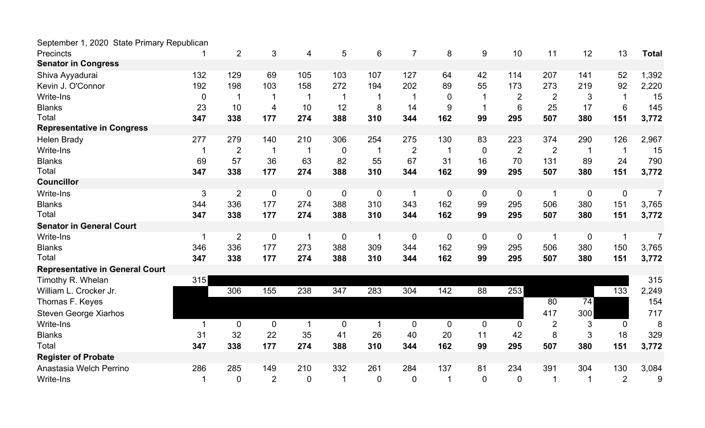| September 1, 2020 State Primary Republican |             |                  |                |                          |                |                |                |                  |                |                |                |             |                |                |
|--------------------------------------------|-------------|------------------|----------------|--------------------------|----------------|----------------|----------------|------------------|----------------|----------------|----------------|-------------|----------------|----------------|
| <b>Precincts</b>                           |             | $\overline{2}$   | 3              | $\overline{4}$           | 5              | 6              | $\overline{7}$ | 8                | 9              | 10             | 11             | 12          | 13             | <b>Total</b>   |
| <b>Senator in Congress</b>                 |             |                  |                |                          |                |                |                |                  |                |                |                |             |                |                |
| Shiva Ayyadurai                            | 132         | 129              | 69             | 105                      | 103            | 107            | 127            | 64               | 42             | 114            | 207            | 141         | 52             | 1,392          |
| Kevin J. O'Connor                          | 192         | 198              | 103            | 158                      | 272            | 194            | 202            | 89               | 55             | 173            | 273            | 219         | 92             | 2,220          |
| <b>Write-Ins</b>                           | $\mathbf 0$ | $\mathbf 1$      |                |                          | -1             |                |                | $\overline{0}$   |                | $\overline{2}$ | $\overline{2}$ | 3           |                | 15             |
| <b>Blanks</b>                              | 23          | 10               | 4              | 10                       | 12             | 8              | 14             | 9                |                | 6              | 25             | 17          | 6              | 145            |
| Total                                      | 347         | 338              | 177            | 274                      | 388            | 310            | 344            | 162              | 99             | 295            | 507            | 380         | 151            | 3,772          |
| <b>Representative in Congress</b>          |             |                  |                |                          |                |                |                |                  |                |                |                |             |                |                |
| <b>Helen Brady</b>                         | 277         | 279              | 140            | 210                      | 306            | 254            | 275            | 130              | 83             | 223            | 374            | 290         | 126            | 2,967          |
| <b>Write-Ins</b>                           |             | $\overline{2}$   | 1              | -1                       | $\overline{0}$ | -1             | $\overline{2}$ |                  | $\overline{0}$ | $\overline{2}$ | $\overline{2}$ |             | $\mathbf 1$    | 15             |
| <b>Blanks</b>                              | 69          | 57               | 36             | 63                       | 82             | 55             | 67             | 31               | 16             | 70             | 131            | 89          | 24             | 790            |
| Total                                      | 347         | 338              | 177            | 274                      | 388            | 310            | 344            | 162              | 99             | 295            | 507            | 380         | 151            | 3,772          |
| <b>Councillor</b>                          |             |                  |                |                          |                |                |                |                  |                |                |                |             |                |                |
| <b>Write-Ins</b>                           | 3           | $\overline{2}$   | $\mathbf 0$    | $\overline{0}$           | $\mathbf 0$    | $\mathbf 0$    | -1             | 0                | $\overline{0}$ | $\mathbf 0$    | -1             | $\mathbf 0$ | $\mathbf 0$    | $\overline{7}$ |
| <b>Blanks</b>                              | 344         | 336              | 177            | 274                      | 388            | 310            | 343            | 162              | 99             | 295            | 506            | 380         | 151            | 3,765          |
| Total                                      | 347         | 338              | 177            | 274                      | 388            | 310            | 344            | 162              | 99             | 295            | 507            | 380         | 151            | 3,772          |
| <b>Senator in General Court</b>            |             |                  |                |                          |                |                |                |                  |                |                |                |             |                |                |
| <b>Write-Ins</b>                           |             | $\overline{2}$   | $\mathbf 0$    | $\overline{\phantom{a}}$ | $\mathbf 0$    |                | 0              | $\mathbf 0$      | $\overline{0}$ | $\mathbf 0$    | -1             | $\mathbf 0$ | 1              | $\overline{7}$ |
| <b>Blanks</b>                              | 346         | 336              | 177            | 273                      | 388            | 309            | 344            | 162              | 99             | 295            | 506            | 380         | 150            | 3,765          |
| Total                                      | 347         | 338              | 177            | 274                      | 388            | 310            | 344            | 162              | 99             | 295            | 507            | 380         | 151            | 3,772          |
| <b>Representative in General Court</b>     |             |                  |                |                          |                |                |                |                  |                |                |                |             |                |                |
| Timothy R. Whelan                          | 315         |                  |                |                          |                |                |                |                  |                |                |                |             |                | 315            |
| William L. Crocker Jr.                     |             | 306              | 155            | 238                      | 347            | 283            | 304            | 142              | 88             | 253            |                |             | 133            | 2,249          |
| Thomas F. Keyes                            |             |                  |                |                          |                |                |                |                  |                |                | 80             | 74          |                | 154            |
| Steven George Xiarhos                      |             |                  |                |                          |                |                |                |                  |                |                | 417            | 300         |                | 717            |
| <b>Write-Ins</b>                           | -1          | $\boldsymbol{0}$ | $\pmb{0}$      | $\overline{1}$           | $\overline{0}$ | $\overline{1}$ | $\mathbf{0}$   | $\boldsymbol{0}$ | $\overline{0}$ | $\overline{0}$ | $\overline{2}$ | 3           | $\overline{0}$ | 8              |
| <b>Blanks</b>                              | 31          | 32               | 22             | 35                       | 41             | 26             | 40             | 20               | 11             | 42             | 8              | 3           | 18             | 329            |
| Total                                      | 347         | 338              | 177            | 274                      | 388            | 310            | 344            | 162              | 99             | 295            | 507            | 380         | 151            | 3,772          |
| <b>Register of Probate</b>                 |             |                  |                |                          |                |                |                |                  |                |                |                |             |                |                |
| Anastasia Welch Perrino                    | 286         | 285              | 149            | 210                      | 332            | 261            | 284            | 137              | 81             | 234            | 391            | 304         | 130            | 3,084          |
| Write-Ins                                  |             | $\overline{0}$   | $\overline{2}$ | $\overline{0}$           | $\mathbf 1$    | $\overline{0}$ | 0              |                  | $\overline{0}$ | $\overline{0}$ |                |             | $\overline{2}$ | 9              |